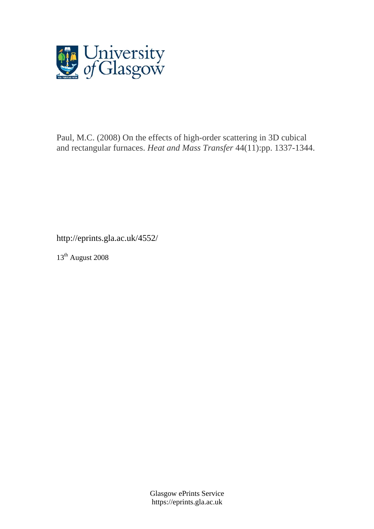

Paul, M.C. (2008) On the effects of high-order scattering in 3D cubical and rectangular furnaces. *Heat and Mass Transfer* 44(11):pp. 1337-1344.

http://eprints.gla.ac.uk/4552/

13<sup>th</sup> August 2008

Glasgow ePrints Service https://eprints.gla.ac.uk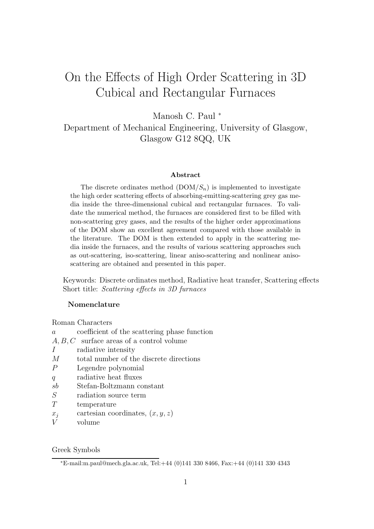# On the Effects of High Order Scattering in 3D Cubical and Rectangular Furnaces

Manosh C. Paul <sup>∗</sup>

Department of Mechanical Engineering, University of Glasgow, Glasgow G12 8QQ, UK

### Abstract

The discrete ordinates method  $(DOM/S_n)$  is implemented to investigate the high order scattering effects of absorbing-emitting-scattering grey gas media inside the three-dimensional cubical and rectangular furnaces. To validate the numerical method, the furnaces are considered first to be filled with non-scattering grey gases, and the results of the higher order approximations of the DOM show an excellent agreement compared with those available in the literature. The DOM is then extended to apply in the scattering media inside the furnaces, and the results of various scattering approaches such as out-scattering, iso-scattering, linear aniso-scattering and nonlinear anisoscattering are obtained and presented in this paper.

Keywords: Discrete ordinates method, Radiative heat transfer, Scattering effects Short title: Scattering effects in 3D furnaces

### Nomenclature

Roman Characters

| $\overline{a}$   | coefficient of the scattering phase function |
|------------------|----------------------------------------------|
|                  | $A, B, C$ surface areas of a control volume  |
| T                | radiative intensity                          |
| $\overline{M}$   | total number of the discrete directions      |
| $\overline{P}$   | Legendre polynomial                          |
| $\boldsymbol{q}$ | radiative heat fluxes                        |
| sb               | Stefan-Boltzmann constant                    |

- S radiation source term
- T temperature
- $x_i$  cartesian coordinates,  $(x, y, z)$
- V volume

Greek Symbols

<sup>∗</sup>E-mail:m.paul@mech.gla.ac.uk, Tel:+44 (0)141 330 8466, Fax:+44 (0)141 330 4343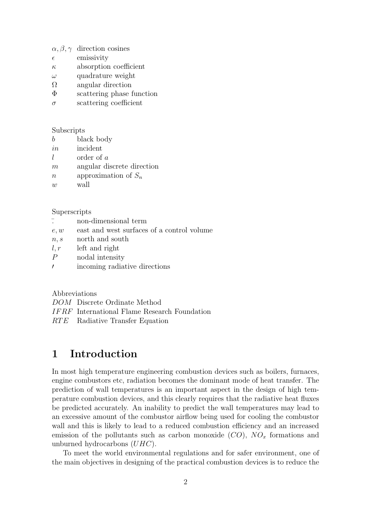| $\alpha, \beta, \gamma$ direction cosines |
|-------------------------------------------|
|                                           |

- $\epsilon$  emissivity
- $\kappa$  absorption coefficient
- $\omega$  quadrature weight
- $\Omega$  angular direction
- Φ scattering phase function
- $\sigma$  scattering coefficient

**Subscripts** 

- b black body in incident  $l \qquad \text{order of } a$
- m angular discrete direction
- $n$  approximation of  $S_n$
- $w$  wall

### Superscripts

|                  | non-dimensional term                       |
|------------------|--------------------------------------------|
| e, w             | east and west surfaces of a control volume |
| n, s             | north and south                            |
| l, r             | left and right                             |
| $\boldsymbol{P}$ | nodal intensity                            |
|                  | incoming radiative directions              |
|                  |                                            |

Abbreviations

DOM Discrete Ordinate Method

IF RF International Flame Research Foundation

RTE Radiative Transfer Equation

# 1 Introduction

In most high temperature engineering combustion devices such as boilers, furnaces, engine combustors etc, radiation becomes the dominant mode of heat transfer. The prediction of wall temperatures is an important aspect in the design of high temperature combustion devices, and this clearly requires that the radiative heat fluxes be predicted accurately. An inability to predict the wall temperatures may lead to an excessive amount of the combustor airflow being used for cooling the combustor wall and this is likely to lead to a reduced combustion efficiency and an increased emission of the pollutants such as carbon monoxide  $(CO)$ ,  $NO<sub>x</sub>$  formations and unburned hydrocarbons (UHC).

To meet the world environmental regulations and for safer environment, one of the main objectives in designing of the practical combustion devices is to reduce the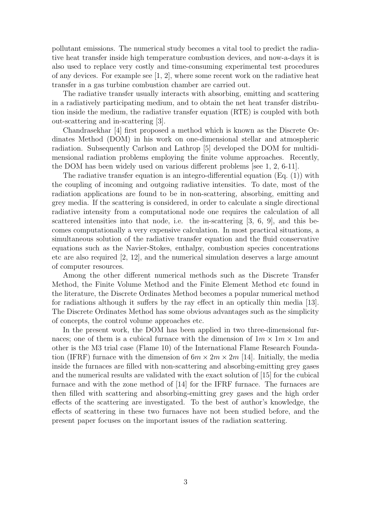pollutant emissions. The numerical study becomes a vital tool to predict the radiative heat transfer inside high temperature combustion devices, and now-a-days it is also used to replace very costly and time-consuming experimental test procedures of any devices. For example see [1, 2], where some recent work on the radiative heat transfer in a gas turbine combustion chamber are carried out.

The radiative transfer usually interacts with absorbing, emitting and scattering in a radiatively participating medium, and to obtain the net heat transfer distribution inside the medium, the radiative transfer equation (RTE) is coupled with both out-scattering and in-scattering [3].

Chandrasekhar [4] first proposed a method which is known as the Discrete Ordinates Method (DOM) in his work on one-dimensional stellar and atmospheric radiation. Subsequently Carlson and Lathrop [5] developed the DOM for multidimensional radiation problems employing the finite volume approaches. Recently, the DOM has been widely used on various different problems [see 1, 2, 6-11].

The radiative transfer equation is an integro-differential equation (Eq.  $(1)$ ) with the coupling of incoming and outgoing radiative intensities. To date, most of the radiation applications are found to be in non-scattering, absorbing, emitting and grey media. If the scattering is considered, in order to calculate a single directional radiative intensity from a computational node one requires the calculation of all scattered intensities into that node, i.e. the in-scattering [3, 6, 9], and this becomes computationally a very expensive calculation. In most practical situations, a simultaneous solution of the radiative transfer equation and the fluid conservative equations such as the Navier-Stokes, enthalpy, combustion species concentrations etc are also required [2, 12], and the numerical simulation deserves a large amount of computer resources.

Among the other different numerical methods such as the Discrete Transfer Method, the Finite Volume Method and the Finite Element Method etc found in the literature, the Discrete Ordinates Method becomes a popular numerical method for radiations although it suffers by the ray effect in an optically thin media [13]. The Discrete Ordinates Method has some obvious advantages such as the simplicity of concepts, the control volume approaches etc.

In the present work, the DOM has been applied in two three-dimensional furnaces; one of them is a cubical furnace with the dimension of  $1m \times 1m \times 1m$  and other is the M3 trial case (Flame 10) of the International Flame Research Foundation (IFRF) furnace with the dimension of  $6m \times 2m \times 2m$  [14]. Initially, the media inside the furnaces are filled with non-scattering and absorbing-emitting grey gases and the numerical results are validated with the exact solution of [15] for the cubical furnace and with the zone method of [14] for the IFRF furnace. The furnaces are then filled with scattering and absorbing-emitting grey gases and the high order effects of the scattering are investigated. To the best of author's knowledge, the effects of scattering in these two furnaces have not been studied before, and the present paper focuses on the important issues of the radiation scattering.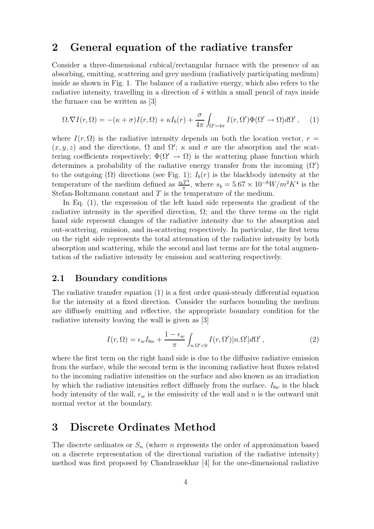### 2 General equation of the radiative transfer

Consider a three-dimensional cubical/rectangular furnace with the presence of an absorbing, emitting, scattering and grey medium (radiatively participating medium) inside as shown in Fig. 1. The balance of a radiative energy, which also refers to the radiative intensity, travelling in a direction of  $\hat{s}$  within a small pencil of rays inside the furnace can be written as [3]

$$
\Omega.\nabla I(r,\Omega) = -(\kappa + \sigma)I(r,\Omega) + \kappa I_b(r) + \frac{\sigma}{4\pi} \int_{\Omega' = 4\pi} I(r,\Omega')\Phi(\Omega' \to \Omega)d\Omega', \quad (1)
$$

where  $I(r, \Omega)$  is the radiative intensity depends on both the location vector,  $r =$  $(x, y, z)$  and the directions,  $\Omega$  and  $\Omega'$ ;  $\kappa$  and  $\sigma$  are the absorption and the scattering coefficients respectively;  $\Phi(\Omega' \to \Omega)$  is the scattering phase function which determines a probability of the radiative energy transfer from the incoming  $(\Omega')$ to the outgoing  $(\Omega)$  directions (see Fig. 1);  $I_b(r)$  is the blackbody intensity at the temperature of the medium defined as  $\frac{s_b T^4}{\pi}$  $\frac{T^4}{\pi}$ , where  $s_b = 5.67 \times 10^{-8} W/m^2 K^4$  is the Stefan-Boltzmann constant and  $T$  is the temperature of the medium.

In Eq. (1), the expression of the left hand side represents the gradient of the radiative intensity in the specified direction,  $\Omega$ ; and the three terms on the right hand side represent changes of the radiative intensity due to the absorption and out-scattering, emission, and in-scattering respectively. In particular, the first term on the right side represents the total attenuation of the radiative intensity by both absorption and scattering, while the second and last terms are for the total augmentation of the radiative intensity by emission and scattering respectively.

### 2.1 Boundary conditions

The radiative transfer equation (1) is a first order quasi-steady differential equation for the intensity at a fixed direction. Consider the surfaces bounding the medium are diffusely emitting and reflective, the appropriate boundary condition for the radiative intensity leaving the wall is given as [3]

$$
I(r,\Omega) = \epsilon_w I_{bw} + \frac{1-\epsilon_w}{\pi} \int_{n,\Omega' < 0} I(r,\Omega') |n.\Omega'| d\Omega',\tag{2}
$$

where the first term on the right hand side is due to the diffusive radiative emission from the surface, while the second term is the incoming radiative heat fluxes related to the incoming radiative intensities on the surface and also known as an irradiation by which the radiative intensities reflect diffusely from the surface.  $I_{bw}$  is the black body intensity of the wall,  $\epsilon_w$  is the emissivity of the wall and n is the outward unit normal vector at the boundary.

# 3 Discrete Ordinates Method

The discrete ordinates or  $S_n$  (where n represents the order of approximation based on a discrete representation of the directional variation of the radiative intensity) method was first proposed by Chandrasekhar [4] for the one-dimensional radiative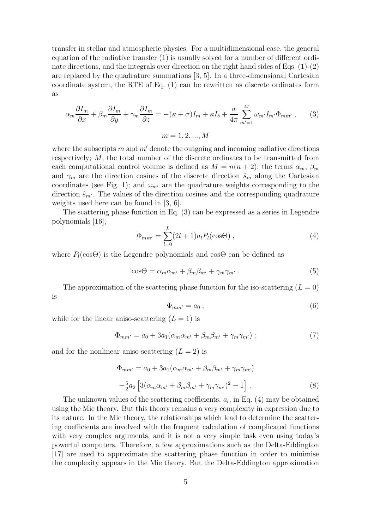transfer in stellar and atmospheric physics. For a multidimensional case, the general equation of the radiative transfer (1) is usually solved for a number of different ordinate directions, and the integrals over direction on the right hand sides of Eqs.  $(1)-(2)$ are replaced by the quadrature summations [3, 5]. In a three-dimensional Cartesian coordinate system, the RTE of Eq. (1) can be rewritten as discrete ordinates form as

$$
\alpha_m \frac{\partial I_m}{\partial x} + \beta_m \frac{\partial I_m}{\partial y} + \gamma_m \frac{\partial I_m}{\partial z} = -(\kappa + \sigma)I_m + \kappa I_b + \frac{\sigma}{4\pi} \sum_{m'=1}^{M} \omega_{m'} I_{m'} \Phi_{mm'}, \qquad (3)
$$

$$
m = 1, 2, ..., M
$$

where the subscripts  $m$  and  $m'$  denote the outgoing and incoming radiative directions respectively; M, the total number of the discrete ordinates to be transmitted from each computational control volume is defined as  $M = n(n + 2)$ ; the terms  $\alpha_m$ ,  $\beta_m$ and  $\gamma_m$  are the direction cosines of the discrete direction  $\hat{s}_m$  along the Cartesian coordinates (see Fig. 1); and  $\omega_{m'}$  are the quadrature weights corresponding to the direction  $\hat{s}_{m'}$ . The values of the direction cosines and the corresponding quadrature weights used here can be found in [3, 6].

The scattering phase function in Eq. (3) can be expressed as a series in Legendre polynomials [16],

$$
\Phi_{mm'} = \sum_{l=0}^{L} (2l+1) a_l P_l(\cos\Theta) , \qquad (4)
$$

where  $P_l(\cos\Theta)$  is the Legendre polynomials and cos $\Theta$  can be defined as

$$
\cos\Theta = \alpha_m \alpha_{m'} + \beta_m \beta_{m'} + \gamma_m \gamma_{m'} . \tag{5}
$$

The approximation of the scattering phase function for the iso-scattering  $(L = 0)$ is

$$
\Phi_{mm'} = a_0 \tag{6}
$$

while for the linear aniso-scattering  $(L = 1)$  is

$$
\Phi_{mm'} = a_0 + 3a_1(\alpha_m \alpha_{m'} + \beta_m \beta_{m'} + \gamma_m \gamma_{m'}) ; \qquad (7)
$$

and for the nonlinear aniso-scattering  $(L = 2)$  is

$$
\Phi_{mm'} = a_0 + 3a_1(\alpha_m \alpha_{m'} + \beta_m \beta_{m'} + \gamma_m \gamma_{m'})
$$
  
+ $\frac{5}{2}a_2 \left[3(\alpha_m \alpha_{m'} + \beta_m \beta_{m'} + \gamma_m \gamma_{m'})^2 - 1\right].$  (8)

The unknown values of the scattering coefficients,  $a_l$ , in Eq. (4) may be obtained using the Mie theory. But this theory remains a very complexity in expression due to its nature. In the Mie theory, the relationships which lead to determine the scattering coefficients are involved with the frequent calculation of complicated functions with very complex arguments, and it is not a very simple task even using today's powerful computers. Therefore, a few approximations such as the Delta-Eddington [17] are used to approximate the scattering phase function in order to minimise the complexity appears in the Mie theory. But the Delta-Eddington approximation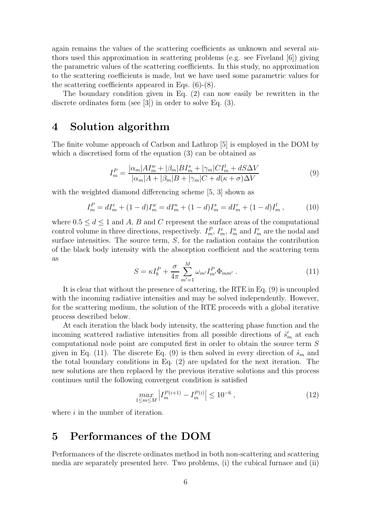again remains the values of the scattering coefficients as unknown and several authors used this approximation in scattering problems (e.g. see Fiveland [6]) giving the parametric values of the scattering coefficients. In this study, no approximation to the scattering coefficients is made, but we have used some parametric values for the scattering coefficients appeared in Eqs. (6)-(8).

The boundary condition given in Eq. (2) can now easily be rewritten in the discrete ordinates form (see [3]) in order to solve Eq. (3).

### 4 Solution algorithm

The finite volume approach of Carlson and Lathrop [5] is employed in the DOM by which a discretised form of the equation (3) can be obtained as

$$
I_m^P = \frac{|\alpha_m| A I_m^w + |\beta_m| B I_m^s + |\gamma_m| C I_m^l + dS \Delta V}{|\alpha_m| A + |\beta_m| B + |\gamma_m| C + d(\kappa + \sigma) \Delta V}
$$
(9)

with the weighted diamond differencing scheme [5, 3] shown as

$$
I_m^P = dI_m^e + (1-d)I_m^w = dI_m^n + (1-d)I_m^s = dI_m^r + (1-d)I_m^l,
$$
 (10)

where  $0.5 \leq d \leq 1$  and A, B and C represent the surface areas of the computational control volume in three directions, respectively.  $I_m^P$ ,  $I_m^e$ ,  $I_m^n$  and  $I_m^r$  are the nodal and surface intensities. The source term,  $S$ , for the radiation contains the contribution of the black body intensity with the absorption coefficient and the scattering term as

$$
S = \kappa I_b^P + \frac{\sigma}{4\pi} \sum_{m'=1}^{M} \omega_{m'} I_{m'}^P \Phi_{mm'}.
$$
 (11)

It is clear that without the presence of scattering, the RTE in Eq. (9) is uncoupled with the incoming radiative intensities and may be solved independently. However, for the scattering medium, the solution of the RTE proceeds with a global iterative process described below.

At each iteration the black body intensity, the scattering phase function and the incoming scattered radiative intensities from all possible directions of  $\hat{s}'_m$  at each computational node point are computed first in order to obtain the source term S given in Eq. (11). The discrete Eq. (9) is then solved in every direction of  $\hat{s}_m$  and the total boundary conditions in Eq. (2) are updated for the next iteration. The new solutions are then replaced by the previous iterative solutions and this process continues until the following convergent condition is satisfied

$$
\max_{1 \le m \le M} \left| I_m^{P(i+1)} - I_m^{P(i)} \right| \le 10^{-6} ,\tag{12}
$$

where  $i$  in the number of iteration.

### 5 Performances of the DOM

Performances of the discrete ordinates method in both non-scattering and scattering media are separately presented here. Two problems, (i) the cubical furnace and (ii)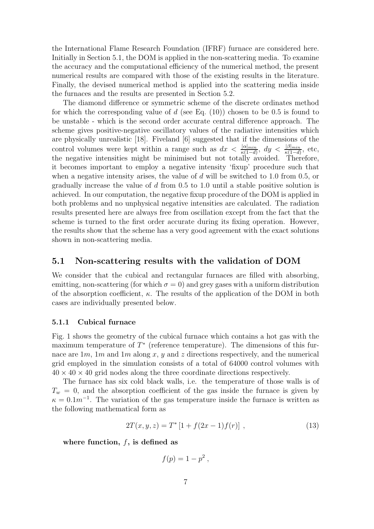the International Flame Research Foundation (IFRF) furnace are considered here. Initially in Section 5.1, the DOM is applied in the non-scattering media. To examine the accuracy and the computational efficiency of the numerical method, the present numerical results are compared with those of the existing results in the literature. Finally, the devised numerical method is applied into the scattering media inside the furnaces and the results are presented in Section 5.2.

The diamond difference or symmetric scheme of the discrete ordinates method for which the corresponding value of d (see Eq.  $(10)$ ) chosen to be 0.5 is found to be unstable - which is the second order accurate central difference approach. The scheme gives positive-negative oscillatory values of the radiative intensities which are physically unrealistic [18]. Fiveland [6] suggested that if the dimensions of the control volumes were kept within a range such as  $dx < \frac{|\alpha|_{min}}{\kappa(1-d)}$ ,  $dy < \frac{|\beta|_{min}}{\kappa(1-d)}$ , etc, the negative intensities might be minimised but not totally avoided. Therefore, it becomes important to employ a negative intensity 'fixup' procedure such that when a negative intensity arises, the value of d will be switched to 1.0 from 0.5, or gradually increase the value of  $d$  from 0.5 to 1.0 until a stable positive solution is achieved. In our computation, the negative fixup procedure of the DOM is applied in both problems and no unphysical negative intensities are calculated. The radiation results presented here are always free from oscillation except from the fact that the scheme is turned to the first order accurate during its fixing operation. However, the results show that the scheme has a very good agreement with the exact solutions shown in non-scattering media.

### 5.1 Non-scattering results with the validation of DOM

We consider that the cubical and rectangular furnaces are filled with absorbing, emitting, non-scattering (for which  $\sigma = 0$ ) and grey gases with a uniform distribution of the absorption coefficient,  $\kappa$ . The results of the application of the DOM in both cases are individually presented below.

### 5.1.1 Cubical furnace

Fig. 1 shows the geometry of the cubical furnace which contains a hot gas with the maximum temperature of  $T^*$  (reference temperature). The dimensions of this furnace are  $1m$ ,  $1m$  and  $1m$  along x, y and z directions respectively, and the numerical grid employed in the simulation consists of a total of 64000 control volumes with  $40 \times 40 \times 40$  grid nodes along the three coordinate directions respectively.

The furnace has six cold black walls, i.e. the temperature of those walls is of  $T_w = 0$ , and the absorption coefficient of the gas inside the furnace is given by  $\kappa = 0.1 m^{-1}$ . The variation of the gas temperature inside the furnace is written as the following mathematical form as

$$
2T(x, y, z) = T^* [1 + f(2x - 1)f(r)],
$$
\n(13)

where function,  $f$ , is defined as

$$
f(p)=1-p^2,
$$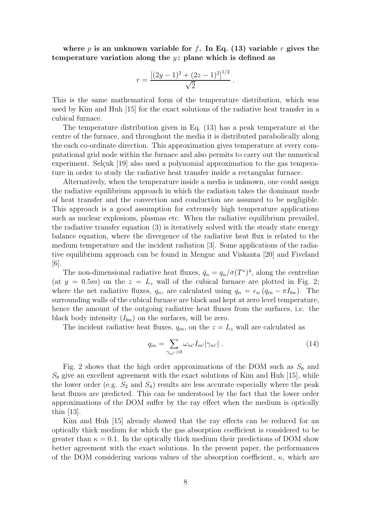where p is an unknown variable for f. In Eq. (13) variable r gives the temperature variation along the  $yz$  plane which is defined as

$$
r = \frac{[(2y-1)^2 + (2z-1)^2]^{1/2}}{\sqrt{2}}.
$$

This is the same mathematical form of the temperature distribution, which was used by Kim and Huh [15] for the exact solutions of the radiative heat transfer in a cubical furnace.

The temperature distribution given in Eq. (13) has a peak temperature at the centre of the furnace, and throughout the media it is distributed parabolically along the each co-ordinate direction. This approximation gives temperature at every computational grid node within the furnace and also permits to carry out the numerical experiment. Selçuk [19] also used a polynomial approximation to the gas temperature in order to study the radiative heat transfer inside a rectangular furnace.

Alternatively, when the temperature inside a media is unknown, one could assign the radiative equilibrium approach in which the radiation takes the dominant mode of heat transfer and the convection and conduction are assumed to be negligible. This approach is a good assumption for extremely high temperature applications such as nuclear explosions, plasmas etc. When the radiative equilibrium prevailed, the radiative transfer equation (3) is iteratively solved with the steady state energy balance equation, where the divergence of the radiative heat flux is related to the medium temperature and the incident radiation [3]. Some applications of the radiative equilibrium approach can be found in Menguc and Viskanta [20] and Fiveland [6].

The non-dimensional radiative heat fluxes,  $\bar{q}_n = q_n/\sigma(T^*)^4$ , along the centreline (at  $y = 0.5m$ ) on the  $z = L<sub>z</sub>$  wall of the cubical furnace are plotted in Fig. 2; where the net radiative fluxes,  $q_n$ , are calculated using  $q_n = \epsilon_w (q_{in} - \pi I_{bw})$ . The surrounding walls of the cubical furnace are black and kept at zero level temperature, hence the amount of the outgoing radiative heat fluxes from the surfaces, i.e. the black body intensity  $(I_{bw})$  on the surfaces, will be zero.

The incident radiative heat fluxes,  $q_{in}$ , on the  $z = L_z$  wall are calculated as

$$
q_{in} = \sum_{\gamma_{m'}>0} \omega_{m'} I_{m'} |\gamma_{m'}| \ . \tag{14}
$$

Fig. 2 shows that the high order approximations of the DOM such as  $S_6$  and  $S_8$  give an excellent agreement with the exact solutions of Kim and Huh [15], while the lower order (e.g.  $S_2$  and  $S_4$ ) results are less accurate especially where the peak heat fluxes are predicted. This can be understood by the fact that the lower order approximations of the DOM suffer by the ray effect when the medium is optically thin [13].

Kim and Huh [15] already showed that the ray effects can be reduced for an optically thick medium for which the gas absorption coefficient is considered to be greater than  $\kappa = 0.1$ . In the optically thick medium their predictions of DOM show better agreement with the exact solutions. In the present paper, the performances of the DOM considering various values of the absorption coefficient,  $\kappa$ , which are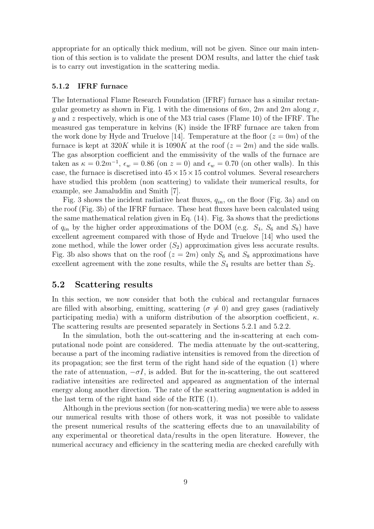appropriate for an optically thick medium, will not be given. Since our main intention of this section is to validate the present DOM results, and latter the chief task is to carry out investigation in the scattering media.

### 5.1.2 IFRF furnace

The International Flame Research Foundation (IFRF) furnace has a similar rectangular geometry as shown in Fig. 1 with the dimensions of  $6m$ ,  $2m$  and  $2m$  along x, y and z respectively, which is one of the M3 trial cases (Flame 10) of the IFRF. The measured gas temperature in kelvins (K) inside the IFRF furnace are taken from the work done by Hyde and Truelove [14]. Temperature at the floor  $(z = 0m)$  of the furnace is kept at 320K while it is 1090K at the roof  $(z = 2m)$  and the side walls. The gas absorption coefficient and the emmissivity of the walls of the furnace are taken as  $\kappa = 0.2m^{-1}$ ,  $\epsilon_w = 0.86$  (on  $z = 0$ ) and  $\epsilon_w = 0.70$  (on other walls). In this case, the furnace is discretised into  $45 \times 15 \times 15$  control volumes. Several researchers have studied this problem (non scattering) to validate their numerical results, for example, see Jamaluddin and Smith [7].

Fig. 3 shows the incident radiative heat fluxes,  $q_{in}$ , on the floor (Fig. 3a) and on the roof (Fig. 3b) of the IFRF furnace. These heat fluxes have been calculated using the same mathematical relation given in Eq. (14). Fig. 3a shows that the predictions of  $q_{in}$  by the higher order approximations of the DOM (e.g.  $S_4$ ,  $S_6$  and  $S_8$ ) have excellent agreement compared with those of Hyde and Truelove [14] who used the zone method, while the lower order  $(S_2)$  approximation gives less accurate results. Fig. 3b also shows that on the roof  $(z = 2m)$  only  $S_6$  and  $S_8$  approximations have excellent agreement with the zone results, while the  $S_4$  results are better than  $S_2$ .

### 5.2 Scattering results

In this section, we now consider that both the cubical and rectangular furnaces are filled with absorbing, emitting, scattering ( $\sigma \neq 0$ ) and grey gases (radiatively participating media) with a uniform distribution of the absorption coefficient,  $\kappa$ . The scattering results are presented separately in Sections 5.2.1 and 5.2.2.

In the simulation, both the out-scattering and the in-scattering at each computational node point are considered. The media attenuate by the out-scattering, because a part of the incoming radiative intensities is removed from the direction of its propagation; see the first term of the right hand side of the equation (1) where the rate of attenuation,  $-\sigma I$ , is added. But for the in-scattering, the out scattered radiative intensities are redirected and appeared as augmentation of the internal energy along another direction. The rate of the scattering augmentation is added in the last term of the right hand side of the RTE (1).

Although in the previous section (for non-scattering media) we were able to assess our numerical results with those of others work, it was not possible to validate the present numerical results of the scattering effects due to an unavailability of any experimental or theoretical data/results in the open literature. However, the numerical accuracy and efficiency in the scattering media are checked carefully with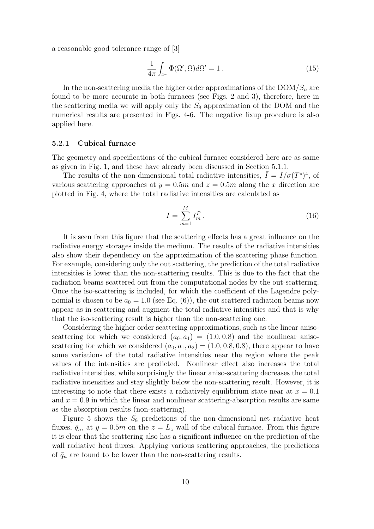a reasonable good tolerance range of [3]

$$
\frac{1}{4\pi} \int_{4\pi} \Phi(\Omega', \Omega) d\Omega' = 1.
$$
\n(15)

In the non-scattering media the higher order approximations of the  $DOM/S_n$  are found to be more accurate in both furnaces (see Figs. 2 and 3), therefore, here in the scattering media we will apply only the  $S_8$  approximation of the DOM and the numerical results are presented in Figs. 4-6. The negative fixup procedure is also applied here.

#### 5.2.1 Cubical furnace

The geometry and specifications of the cubical furnace considered here are as same as given in Fig. 1, and these have already been discussed in Section 5.1.1.

The results of the non-dimensional total radiative intensities,  $\overline{I} = I/\sigma(T^*)^4$ , of various scattering approaches at  $y = 0.5m$  and  $z = 0.5m$  along the x direction are plotted in Fig. 4, where the total radiative intensities are calculated as

$$
I = \sum_{m=1}^{M} I_m^P.
$$
 (16)

It is seen from this figure that the scattering effects has a great influence on the radiative energy storages inside the medium. The results of the radiative intensities also show their dependency on the approximation of the scattering phase function. For example, considering only the out scattering, the prediction of the total radiative intensities is lower than the non-scattering results. This is due to the fact that the radiation beams scattered out from the computational nodes by the out-scattering. Once the iso-scattering is included, for which the coefficient of the Lagendre polynomial is chosen to be  $a_0 = 1.0$  (see Eq. (6)), the out scattered radiation beams now appear as in-scattering and augment the total radiative intensities and that is why that the iso-scattering result is higher than the non-scattering one.

Considering the higher order scattering approximations, such as the linear anisoscattering for which we considered  $(a_0, a_1) = (1.0, 0.8)$  and the nonlinear anisoscattering for which we considered  $(a_0, a_1, a_2) = (1.0, 0.8, 0.8)$ , there appear to have some variations of the total radiative intensities near the region where the peak values of the intensities are predicted. Nonlinear effect also increases the total radiative intensities, while surprisingly the linear aniso-scattering decreases the total radiative intensities and stay slightly below the non-scattering result. However, it is interesting to note that there exists a radiatively equilibrium state near at  $x = 0.1$ and  $x = 0.9$  in which the linear and nonlinear scattering-absorption results are same as the absorption results (non-scattering).

Figure 5 shows the  $S_8$  predictions of the non-dimensional net radiative heat fluxes,  $\bar{q}_n$ , at  $y = 0.5m$  on the  $z = L_z$  wall of the cubical furnace. From this figure it is clear that the scattering also has a significant influence on the prediction of the wall radiative heat fluxes. Applying various scattering approaches, the predictions of  $\bar{q}_n$  are found to be lower than the non-scattering results.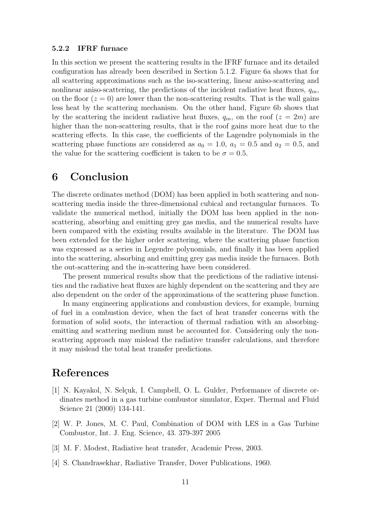### 5.2.2 IFRF furnace

In this section we present the scattering results in the IFRF furnace and its detailed configuration has already been described in Section 5.1.2. Figure 6a shows that for all scattering approximations such as the iso-scattering, linear aniso-scattering and nonlinear aniso-scattering, the predictions of the incident radiative heat fluxes,  $q_{in}$ , on the floor  $(z = 0)$  are lower than the non-scattering results. That is the wall gains less heat by the scattering mechanism. On the other hand, Figure 6b shows that by the scattering the incident radiative heat fluxes,  $q_{in}$ , on the roof  $(z = 2m)$  are higher than the non-scattering results, that is the roof gains more heat due to the scattering effects. In this case, the coefficients of the Lagendre polynomials in the scattering phase functions are considered as  $a_0 = 1.0$ ,  $a_1 = 0.5$  and  $a_2 = 0.5$ , and the value for the scattering coefficient is taken to be  $\sigma = 0.5$ .

## 6 Conclusion

The discrete ordinates method (DOM) has been applied in both scattering and nonscattering media inside the three-dimensional cubical and rectangular furnaces. To validate the numerical method, initially the DOM has been applied in the nonscattering, absorbing and emitting grey gas media, and the numerical results have been compared with the existing results available in the literature. The DOM has been extended for the higher order scattering, where the scattering phase function was expressed as a series in Legendre polynomials, and finally it has been applied into the scattering, absorbing and emitting grey gas media inside the furnaces. Both the out-scattering and the in-scattering have been considered.

The present numerical results show that the predictions of the radiative intensities and the radiative heat fluxes are highly dependent on the scattering and they are also dependent on the order of the approximations of the scattering phase function.

In many engineering applications and combustion devices, for example, burning of fuel in a combustion device, when the fact of heat transfer concerns with the formation of solid soots, the interaction of thermal radiation with an absorbingemitting and scattering medium must be accounted for. Considering only the nonscattering approach may mislead the radiative transfer calculations, and therefore it may mislead the total heat transfer predictions.

# References

- [1] N. Kayakol, N. Selçuk, I. Campbell, O. L. Gulder, Performance of discrete ordinates method in a gas turbine combustor simulator, Exper. Thermal and Fluid Science 21 (2000) 134-141.
- [2] W. P. Jones, M. C. Paul, Combination of DOM with LES in a Gas Turbine Combustor, Int. J. Eng. Science, 43. 379-397 2005
- [3] M. F. Modest, Radiative heat transfer, Academic Press, 2003.
- [4] S. Chandrasekhar, Radiative Transfer, Dover Publications, 1960.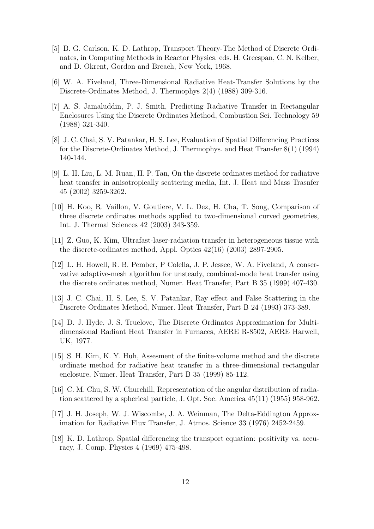- [5] B. G. Carlson, K. D. Lathrop, Transport Theory-The Method of Discrete Ordinates, in Computing Methods in Reactor Physics, eds. H. Greespan, C. N. Kelber, and D. Okrent, Gordon and Breach, New York, 1968.
- [6] W. A. Fiveland, Three-Dimensional Radiative Heat-Transfer Solutions by the Discrete-Ordinates Method, J. Thermophys 2(4) (1988) 309-316.
- [7] A. S. Jamaluddin, P. J. Smith, Predicting Radiative Transfer in Rectangular Enclosures Using the Discrete Ordinates Method, Combustion Sci. Technology 59 (1988) 321-340.
- [8] J. C. Chai, S. V. Patankar, H. S. Lee, Evaluation of Spatial Differencing Practices for the Discrete-Ordinates Method, J. Thermophys. and Heat Transfer 8(1) (1994) 140-144.
- [9] L. H. Liu, L. M. Ruan, H. P. Tan, On the discrete ordinates method for radiative heat transfer in anisotropically scattering media, Int. J. Heat and Mass Trasnfer 45 (2002) 3259-3262.
- [10] H. Koo, R. Vaillon, V. Goutiere, V. L. Dez, H. Cha, T. Song, Comparison of three discrete ordinates methods applied to two-dimensional curved geometries, Int. J. Thermal Sciences 42 (2003) 343-359.
- [11] Z. Guo, K. Kim, Ultrafast-laser-radiation transfer in heterogeneous tissue with the discrete-ordinates method, Appl. Optics 42(16) (2003) 2897-2905.
- [12] L. H. Howell, R. B. Pember, P Colella, J. P. Jessee, W. A. Fiveland, A conservative adaptive-mesh algorithm for unsteady, combined-mode heat transfer using the discrete ordinates method, Numer. Heat Transfer, Part B 35 (1999) 407-430.
- [13] J. C. Chai, H. S. Lee, S. V. Patankar, Ray effect and False Scattering in the Discrete Ordinates Method, Numer. Heat Transfer, Part B 24 (1993) 373-389.
- [14] D. J. Hyde, J. S. Truelove, The Discrete Ordinates Approximation for Multidimensional Radiant Heat Transfer in Furnaces, AERE R-8502, AERE Harwell, UK, 1977.
- [15] S. H. Kim, K. Y. Huh, Assesment of the finite-volume method and the discrete ordinate method for radiative heat transfer in a three-dimensional rectangular enclosure, Numer. Heat Transfer, Part B 35 (1999) 85-112.
- [16] C. M. Chu, S. W. Churchill, Representation of the angular distribution of radiation scattered by a spherical particle, J. Opt. Soc. America 45(11) (1955) 958-962.
- [17] J. H. Joseph, W. J. Wiscombe, J. A. Weinman, The Delta-Eddington Approximation for Radiative Flux Transfer, J. Atmos. Science 33 (1976) 2452-2459.
- [18] K. D. Lathrop, Spatial differencing the transport equation: positivity vs. accuracy, J. Comp. Physics 4 (1969) 475-498.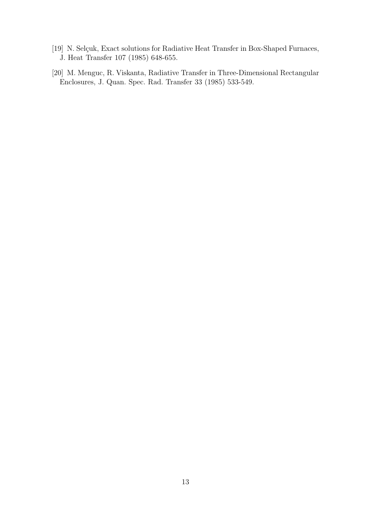- [19] N. Selçuk, Exact solutions for Radiative Heat Transfer in Box-Shaped Furnaces, J. Heat Transfer 107 (1985) 648-655.
- [20] M. Menguc, R. Viskanta, Radiative Transfer in Three-Dimensional Rectangular Enclosures, J. Quan. Spec. Rad. Transfer 33 (1985) 533-549.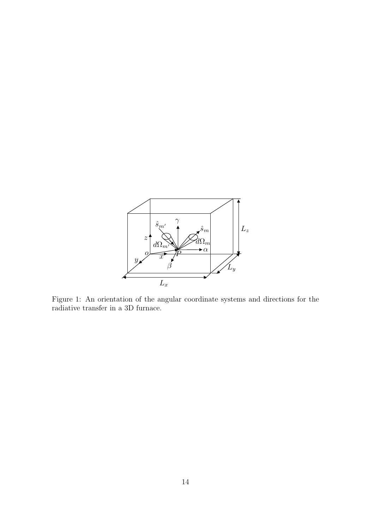

Figure 1: An orientation of the angular coordinate systems and directions for the radiative transfer in a 3D furnace.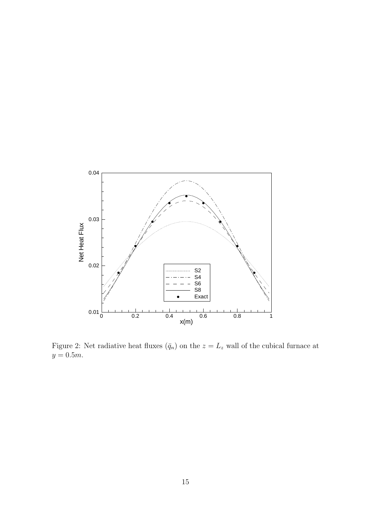

Figure 2: Net radiative heat fluxes  $(\bar{q}_n)$  on the  $z = L_z$  wall of the cubical furnace at  $y = 0.5m$ .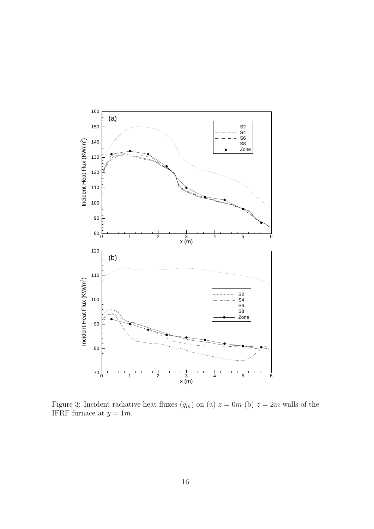

Figure 3: Incident radiative heat fluxes  $(q_{in})$  on (a)  $z = 0m$  (b)  $z = 2m$  walls of the IFRF furnace at  $y = 1m$ .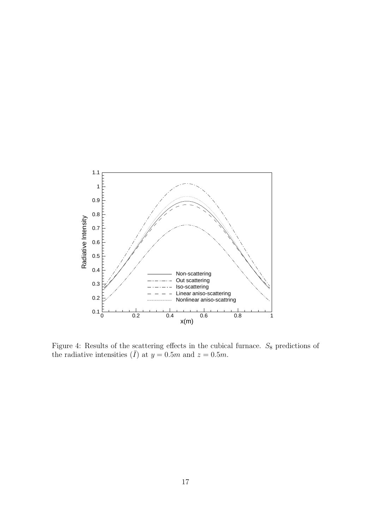

Figure 4: Results of the scattering effects in the cubical furnace.  $S_8$  predictions of the radiative intensities  $(\overline{I})$  at  $y = 0.5m$  and  $z = 0.5m$ .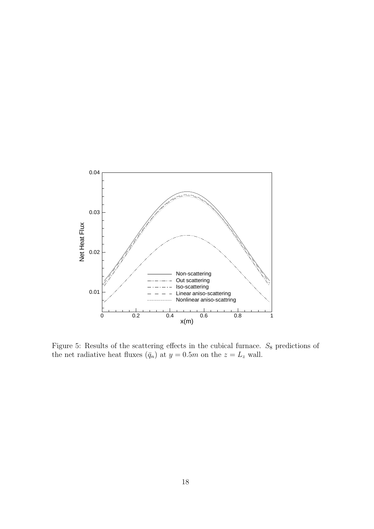

Figure 5: Results of the scattering effects in the cubical furnace.  $S_8$  predictions of the net radiative heat fluxes  $(\bar{q}_n)$  at  $y = 0.5m$  on the  $z = L_z$  wall.